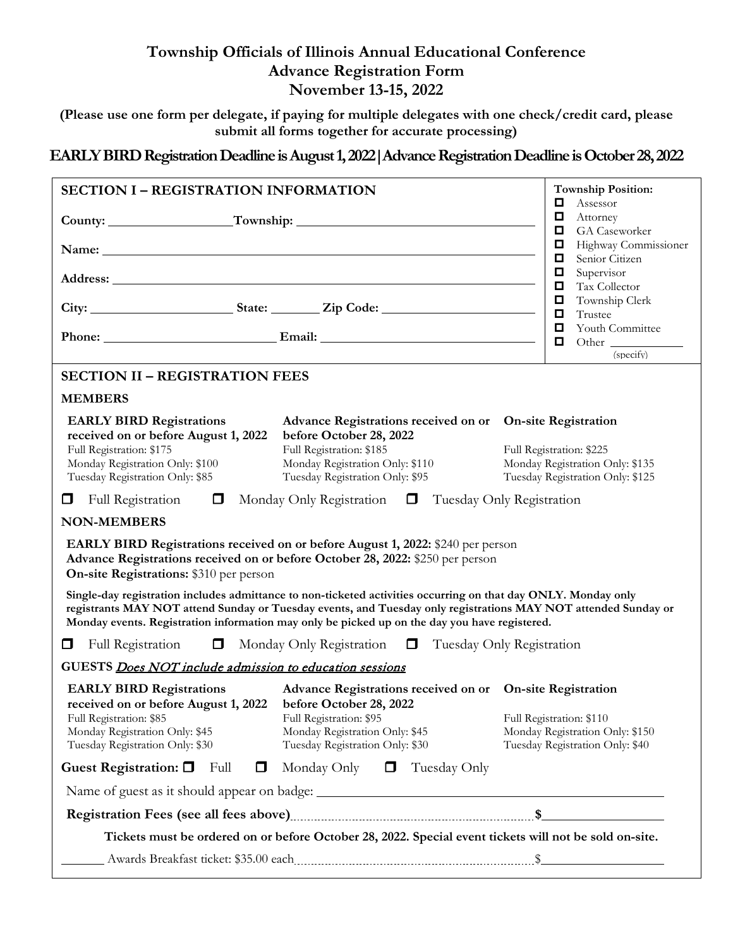# **Township Officials of Illinois Annual Educational Conference Advance Registration Form November 13-15, 2022**

**(Please use one form per delegate, if paying for multiple delegates with one check/credit card, please submit all forms together for accurate processing)**

## **EARLY BIRD Registration Deadline is August 1, 2022|Advance Registration Deadline is October 28, 2022**

| <b>SECTION I - REGISTRATION INFORMATION</b>                                                                                                                                                                             |                                                                                                                                                                                                                                                                                                                                   | <b>Township Position:</b>                                                                       |
|-------------------------------------------------------------------------------------------------------------------------------------------------------------------------------------------------------------------------|-----------------------------------------------------------------------------------------------------------------------------------------------------------------------------------------------------------------------------------------------------------------------------------------------------------------------------------|-------------------------------------------------------------------------------------------------|
| County: Township: Township:                                                                                                                                                                                             |                                                                                                                                                                                                                                                                                                                                   | Assessor<br>□<br>Д<br>Attorney                                                                  |
|                                                                                                                                                                                                                         | Name: Name: Name: Name: Name: Name: Name: Name: Name: Name: Name: Name: Name: Name: Name: Name: Name: Name: Name: Name: Name: Name: Name: Name: Name: Name: Name: Name: Name: Name: Name: Name: Name: Name: Name: Name: Name:                                                                                                     | GA Caseworker<br>Д<br>Д<br>Highway Commissioner<br>$\Box$<br>Senior Citizen                     |
|                                                                                                                                                                                                                         |                                                                                                                                                                                                                                                                                                                                   | $\Box$<br>Supervisor<br>$\Box$<br>Tax Collector                                                 |
|                                                                                                                                                                                                                         |                                                                                                                                                                                                                                                                                                                                   | Д<br>Township Clerk<br>$\Box$<br>Trustee<br>$\Box$                                              |
|                                                                                                                                                                                                                         |                                                                                                                                                                                                                                                                                                                                   | Youth Committee<br>$\Box$<br>Other<br>(specify)                                                 |
| <b>SECTION II - REGISTRATION FEES</b>                                                                                                                                                                                   |                                                                                                                                                                                                                                                                                                                                   |                                                                                                 |
| <b>MEMBERS</b>                                                                                                                                                                                                          |                                                                                                                                                                                                                                                                                                                                   |                                                                                                 |
| <b>EARLY BIRD Registrations</b><br>received on or before August 1, 2022<br>Full Registration: \$175<br>Monday Registration Only: \$100<br>Tuesday Registration Only: \$85                                               | Advance Registrations received on or On-site Registration<br>before October 28, 2022<br>Full Registration: \$185<br>Monday Registration Only: \$110<br>Tuesday Registration Only: \$95                                                                                                                                            | Full Registration: \$225<br>Monday Registration Only: \$135<br>Tuesday Registration Only: \$125 |
| 0                                                                                                                                                                                                                       | Full Registration $\Box$ Monday Only Registration $\Box$ Tuesday Only Registration                                                                                                                                                                                                                                                |                                                                                                 |
| <b>NON-MEMBERS</b>                                                                                                                                                                                                      |                                                                                                                                                                                                                                                                                                                                   |                                                                                                 |
| <b>On-site Registrations: \$310 per person</b>                                                                                                                                                                          | <b>EARLY BIRD Registrations received on or before August 1, 2022: \$240 per person</b><br>Advance Registrations received on or before October 28, 2022: \$250 per person                                                                                                                                                          |                                                                                                 |
|                                                                                                                                                                                                                         | Single-day registration includes admittance to non-ticketed activities occurring on that day ONLY. Monday only<br>registrants MAY NOT attend Sunday or Tuesday events, and Tuesday only registrations MAY NOT attended Sunday or<br>Monday events. Registration information may only be picked up on the day you have registered. |                                                                                                 |
| 0                                                                                                                                                                                                                       | Full Registration $\Box$ Monday Only Registration $\Box$ Tuesday Only Registration                                                                                                                                                                                                                                                |                                                                                                 |
| GUESTS Does NOT include admission to education sessions                                                                                                                                                                 |                                                                                                                                                                                                                                                                                                                                   |                                                                                                 |
| <b>EARLY BIRD Registrations</b><br>received on or before August 1, 2022 before October 28, 2022<br>Full Registration: \$85 Full Registration: \$95<br>Monday Registration Only: \$45<br>Tuesday Registration Only: \$30 | Advance Registrations received on or On-site Registration<br>Monday Registration Only: \$45<br>Tuesday Registration Only: \$30                                                                                                                                                                                                    | Full Registration: \$110<br>Monday Registration Only: \$150<br>Tuesday Registration Only: \$40  |
| Guest Registration: $\Box$<br>Full<br>$\Box$                                                                                                                                                                            | Monday Only $\Box$<br>Tuesday Only                                                                                                                                                                                                                                                                                                |                                                                                                 |
|                                                                                                                                                                                                                         |                                                                                                                                                                                                                                                                                                                                   |                                                                                                 |
|                                                                                                                                                                                                                         |                                                                                                                                                                                                                                                                                                                                   |                                                                                                 |
|                                                                                                                                                                                                                         | Tickets must be ordered on or before October 28, 2022. Special event tickets will not be sold on-site.                                                                                                                                                                                                                            |                                                                                                 |
|                                                                                                                                                                                                                         |                                                                                                                                                                                                                                                                                                                                   |                                                                                                 |